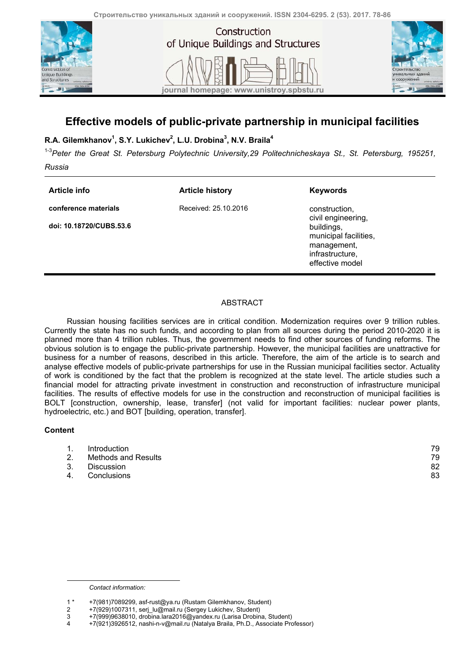



## **Effective models of public-private partnership in municipal facilities**

## **R.A. Gilemkhanov1 , S.Y. Lukichev2 , L.U. Drobina<sup>3</sup> , N.V. Braila<sup>4</sup>**

1-3*Peter the Great St. Petersburg Polytechnic University,29 Politechnicheskaya St., St. Petersburg, 195251,* 

*Russia* 

| Article info                                    | <b>Article history</b> | <b>Keywords</b>                                                                                                                 |
|-------------------------------------------------|------------------------|---------------------------------------------------------------------------------------------------------------------------------|
| conference materials<br>doi: 10.18720/CUBS.53.6 | Received: 25.10.2016   | construction,<br>civil engineering,<br>buildings,<br>municipal facilities,<br>management,<br>infrastructure,<br>effective model |

## ABSTRACT

Russian housing facilities services are in critical condition. Modernization requires over 9 trillion rubles. Currently the state has no such funds, and according to plan from all sources during the period 2010-2020 it is planned more than 4 trillion rubles. Thus, the government needs to find other sources of funding reforms. The obvious solution is to engage the public-private partnership. However, the municipal facilities are unattractive for business for a number of reasons, described in this article. Therefore, the aim of the article is to search and analyse effective models of public-private partnerships for use in the Russian municipal facilities sector. Actuality of work is conditioned by the fact that the problem is recognized at the state level. The article studies such a financial model for attracting private investment in construction and reconstruction of infrastructure municipal facilities. The results of effective models for use in the construction and reconstruction of municipal facilities is BOLT [construction, ownership, lease, transfer] (not valid for important facilities: nuclear power plants, hydroelectric, etc.) and BOT [building, operation, transfer].

## **Content**

1

|    | Introduction        | 79 |
|----|---------------------|----|
|    | Methods and Results | 79 |
| 3. | Discussion          | 82 |
| 4. | Conclusions         | 83 |

*Contact information:* 

<sup>1 \* +7(981)7089299,</sup> asf-rust@ya.ru (Rustam Gilemkhanov, Student)

<sup>2 +7(929)1007311,</sup> serj\_lu@mail.ru (Sergey Lukichev, Student)<br>3 +7(999)9638010, drobina.lara2016@yandex.ru (Larisa Drobin

<sup>3 +7(999)9638010,</sup> drobina.lara2016@yandex.ru (Larisa Drobina, Student)

<sup>4 +7(921)3926512,</sup> nashi-n-v@mail.ru (Natalya Braila, Ph.D., Associate Professor)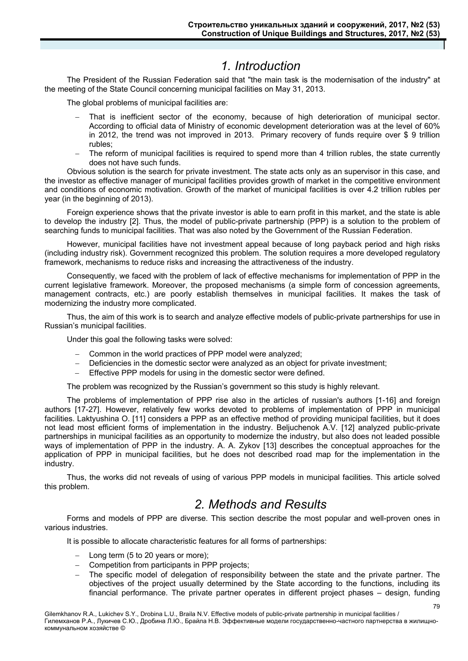# *1. Introduction*

The President of the Russian Federation said that "the main task is the modernisation of the industry" at the meeting of the State Council concerning municipal facilities on May 31, 2013.

The global problems of municipal facilities are:

- That is inefficient sector of the economy, because of high deterioration of municipal sector. According to official data of Ministry of economic development deterioration was at the level of 60% in 2012, the trend was not improved in 2013. Primary recovery of funds require over \$ 9 trillion rubles;
- The reform of municipal facilities is required to spend more than 4 trillion rubles, the state currently does not have such funds.

Obvious solution is the search for private investment. The state acts only as an supervisor in this case, and the investor as effective manager of municipal facilities provides growth of market in the competitive environment and conditions of economic motivation. Growth of the market of municipal facilities is over 4.2 trillion rubles per year (in the beginning of 2013).

Foreign experience shows that the private investor is able to earn profit in this market, and the state is able to develop the industry [2]. Thus, the model of public-private partnership (PPP) is a solution to the problem of searching funds to municipal facilities. That was also noted by the Government of the Russian Federation.

However, municipal facilities have not investment appeal because of long payback period and high risks (including industry risk). Government recognized this problem. The solution requires a more developed regulatory framework, mechanisms to reduce risks and increasing the attractiveness of the industry.

Consequently, we faced with the problem of lack of effective mechanisms for implementation of PPP in the current legislative framework. Moreover, the proposed mechanisms (a simple form of concession agreements, management contracts, etc.) are poorly establish themselves in municipal facilities. It makes the task of modernizing the industry more complicated.

Thus, the aim of this work is to search and analyze effective models of public-private partnerships for use in Russian's municipal facilities.

Under this goal the following tasks were solved:

- Common in the world practices of PPP model were analyzed;
- Deficiencies in the domestic sector were analyzed as an object for private investment;
- Effective PPP models for using in the domestic sector were defined.

The problem was recognized by the Russian's government so this study is highly relevant.

The problems of implementation of PPP rise also in the articles of russian's authors [1-16] and foreign authors [17-27]. However, relatively few works devoted to problems of implementation of PPP in municipal facilities. Laktyushina O. [11] considers a PPP as an effective method of providing municipal facilities, but it does not lead most efficient forms of implementation in the industry. Beljuchenok A.V. [12] analyzed public-private partnerships in municipal facilities as an opportunity to modernize the industry, but also does not leaded possible ways of implementation of PPP in the industry. A. A. Zykov [13] describes the conceptual approaches for the application of PPP in municipal facilities, but he does not described road map for the implementation in the industry.

Thus, the works did not reveals of using of various PPP models in municipal facilities. This article solved this problem.

# *2. Methods and Results*

Forms and models of PPP are diverse. This section describe the most popular and well-proven ones in various industries.

It is possible to allocate characteristic features for all forms of partnerships:

- Long term (5 to 20 years or more);
- Competition from participants in PPP projects;
- The specific model of delegation of responsibility between the state and the private partner. The objectives of the project usually determined by the State according to the functions, including its financial performance. The private partner operates in different project phases – design, funding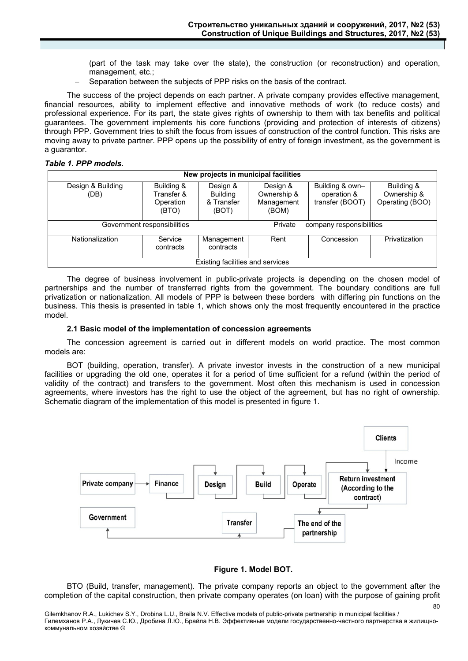(part of the task may take over the state), the construction (or reconstruction) and operation, management, etc.;

Separation between the subjects of PPP risks on the basis of the contract.

The success of the project depends on each partner. A private company provides effective management, financial resources, ability to implement effective and innovative methods of work (to reduce costs) and professional experience. For its part, the state gives rights of ownership to them with tax benefits and political guarantees. The government implements his core functions (providing and protection of interests of citizens) through PPP. Government tries to shift the focus from issues of construction of the control function. This risks are moving away to private partner. PPP opens up the possibility of entry of foreign investment, as the government is a guarantor.

#### *Table 1. PPP models.*

| New projects in municipal facilities |                                                |                                                    |                                                |                                                   |                                              |  |  |
|--------------------------------------|------------------------------------------------|----------------------------------------------------|------------------------------------------------|---------------------------------------------------|----------------------------------------------|--|--|
| Design & Building<br>(DB)            | Building &<br>Transfer &<br>Operation<br>(BTO) | Design &<br><b>Building</b><br>& Transfer<br>(BOT) | Design &<br>Ownership &<br>Management<br>(BOM) | Building & own-<br>operation &<br>transfer (BOOT) | Building &<br>Ownership &<br>Operating (BOO) |  |  |
| Government responsibilities          |                                                |                                                    | Private<br>company responsibilities            |                                                   |                                              |  |  |
| Nationalization                      | Service<br>contracts                           | Management<br>contracts                            | Rent                                           | Concession                                        | Privatization                                |  |  |
| Existing facilities and services     |                                                |                                                    |                                                |                                                   |                                              |  |  |

The degree of business involvement in public-private projects is depending on the chosen model of partnerships and the number of transferred rights from the government. The boundary conditions are full privatization or nationalization. All models of PPP is between these borders with differing pin functions on the business. This thesis is presented in table 1, which shows only the most frequently encountered in the practice model.

#### **2.1 Basic model of the implementation of concession agreements**

The concession agreement is carried out in different models on world practice. The most common models are:

BOT (building, operation, transfer). A private investor invests in the construction of a new municipal facilities or upgrading the old one, operates it for a period of time sufficient for a refund (within the period of validity of the contract) and transfers to the government. Most often this mechanism is used in concession agreements, where investors has the right to use the object of the agreement, but has no right of ownership. Schematic diagram of the implementation of this model is presented in figure 1.



### **Figure 1. Model BОТ.**

80

BTO (Build, transfer, management). The private company reports an object to the government after the completion of the capital construction, then private company operates (on loan) with the purpose of gaining profit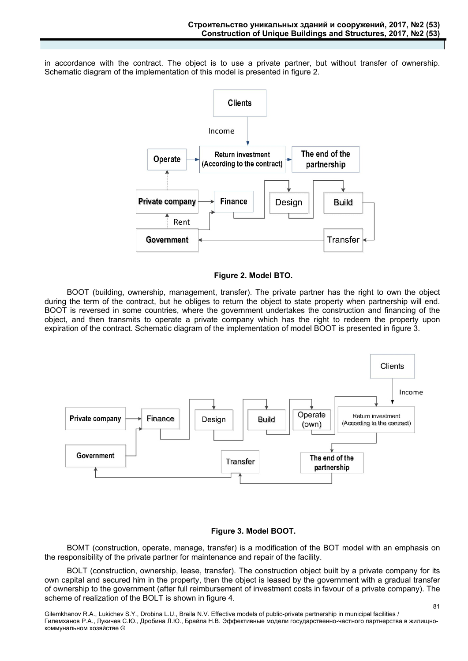in accordance with the contract. The object is to use a private partner, but without transfer of ownership. Schematic diagram of the implementation of this model is presented in figure 2.



#### **Figure 2. Model BТО.**

BOOT (building, ownership, management, transfer). The private partner has the right to own the object during the term of the contract, but he obliges to return the object to state property when partnership will end. BOOT is reversed in some countries, where the government undertakes the construction and financing of the object, and then transmits to operate a private company which has the right to redeem the property upon expiration of the contract. Schematic diagram of the implementation of model BOOT is presented in figure 3.



## **Figure 3. Model BOOT.**

BOMT (construction, operate, manage, transfer) is a modification of the BOT model with an emphasis on the responsibility of the private partner for maintenance and repair of the facility.

BOLT (construction, ownership, lease, transfer). The construction object built by a private company for its own capital and secured him in the property, then the object is leased by the government with a gradual transfer of ownership to the government (after full reimbursement of investment costs in favour of a private company). The scheme of realization of the BOLT is shown in figure 4.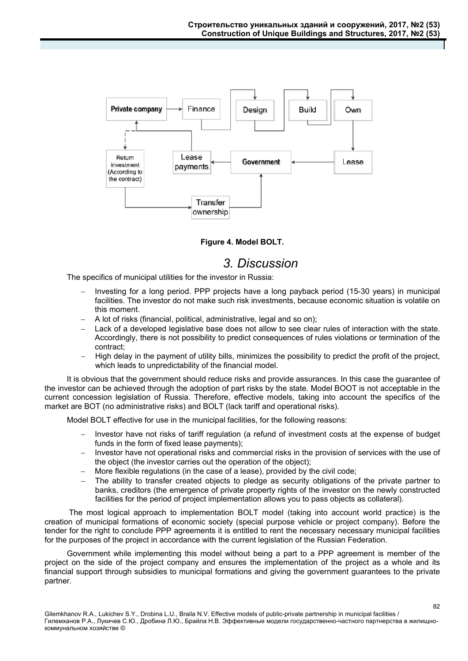

**Figure 4. Model BOLT.** 

# *3. Discussion*

The specifics of municipal utilities for the investor in Russia:

- Investing for a long period. PPP projects have a long payback period (15-30 years) in municipal facilities. The investor do not make such risk investments, because economic situation is volatile on this moment.
- A lot of risks (financial, political, administrative, legal and so on);
- Lack of a developed legislative base does not allow to see clear rules of interaction with the state. Accordingly, there is not possibility to predict consequences of rules violations or termination of the contract;
- High delay in the payment of utility bills, minimizes the possibility to predict the profit of the project, which leads to unpredictability of the financial model.

It is obvious that the government should reduce risks and provide assurances. In this case the guarantee of the investor can be achieved through the adoption of part risks by the state. Model BOOT is not acceptable in the current concession legislation of Russia. Therefore, effective models, taking into account the specifics of the market are BOT (no administrative risks) and BOLT (lack tariff and operational risks).

Model BOLT effective for use in the municipal facilities, for the following reasons:

- Investor have not risks of tariff regulation (a refund of investment costs at the expense of budget funds in the form of fixed lease payments);
- Investor have not operational risks and commercial risks in the provision of services with the use of the object (the investor carries out the operation of the object);
- More flexible regulations (in the case of a lease), provided by the civil code;
- The ability to transfer created objects to pledge as security obligations of the private partner to banks, creditors (the emergence of private property rights of the investor on the newly constructed facilities for the period of project implementation allows you to pass objects as collateral).

 The most logical approach to implementation BOLT model (taking into account world practice) is the creation of municipal formations of economic society (special purpose vehicle or project company). Before the tender for the right to conclude PPP agreements it is entitled to rent the necessary necessary municipal facilities for the purposes of the project in accordance with the current legislation of the Russian Federation.

Government while implementing this model without being a part to a PPP agreement is member of the project on the side of the project company and ensures the implementation of the project as a whole and its financial support through subsidies to municipal formations and giving the government guarantees to the private partner.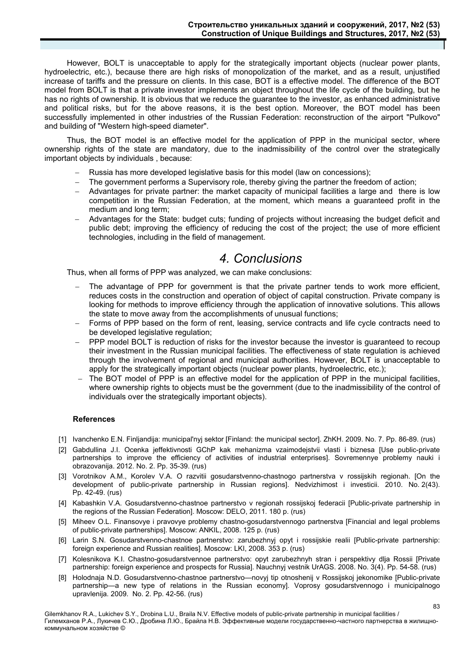However, BOLT is unacceptable to apply for the strategically important objects (nuclear power plants, hydroelectric, etc.), because there are high risks of monopolization of the market, and as a result, unjustified increase of tariffs and the pressure on clients. In this case, BOT is a effective model. The difference of the BOT model from BOLT is that a private investor implements an object throughout the life cycle of the building, but he has no rights of ownership. It is obvious that we reduce the guarantee to the investor, as enhanced administrative and political risks, but for the above reasons, it is the best option. Moreover, the BOT model has been successfully implemented in other industries of the Russian Federation: reconstruction of the airport "Pulkovo" and building of "Western high-speed diameter".

Thus, the BOT model is an effective model for the application of PPP in the municipal sector, where ownership rights of the state are mandatory, due to the inadmissibility of the control over the strategically important objects by individuals , because:

- Russia has more developed legislative basis for this model (law on concessions);
- The government performs a Supervisory role, thereby giving the partner the freedom of action;
- Advantages for private partner: the market capacity of municipal facilities a large and there is low competition in the Russian Federation, at the moment, which means a guaranteed profit in the medium and long term;
- Advantages for the State: budget cuts; funding of projects without increasing the budget deficit and public debt; improving the efficiency of reducing the cost of the project; the use of more efficient technologies, including in the field of management.

## *4. Conclusions*

Thus, when all forms of PPP was analyzed, we can make conclusions:

- The advantage of PPP for government is that the private partner tends to work more efficient, reduces costs in the construction and operation of object of capital construction. Private company is looking for methods to improve efficiency through the application of innovative solutions. This allows the state to move away from the accomplishments of unusual functions;
- Forms of PPP based on the form of rent, leasing, service contracts and life cycle contracts need to be developed legislative regulation;
- PPP model BOLT is reduction of risks for the investor because the investor is guaranteed to recoup their investment in the Russian municipal facilities. The effectiveness of state regulation is achieved through the involvement of regional and municipal authorities. However, BOLT is unacceptable to apply for the strategically important objects (nuclear power plants, hydroelectric, etc.);
- The BOT model of PPP is an effective model for the application of PPP in the municipal facilities, where ownership rights to objects must be the government (due to the inadmissibility of the control of individuals over the strategically important objects).

### **References**

- [1] Ivanchenko E.N. Finljandija: municipal'nyj sektor [Finland: the municipal sector]. ZhKH. 2009. No. 7. Pp. 86-89. (rus)
- [2] Gabdullina J.I. Ocenka jeffektivnosti GChP kak mehanizma vzaimodejstvii vlasti i biznesa [Use public-private partnerships to improve the efficiency of activities of industrial enterprises]. Sovremennye problemy nauki i obrazovanija. 2012. No. 2. Pp. 35-39. (rus)
- [3] Vorotnikov A.M., Korolev V.A. O razvitii gosudarstvenno-chastnogo partnerstva v rossijskih regionah. [On the development of public-private partnership in Russian regions]. Nedvizhimost i investicii. 2010. No. 2(43). Pp. 42-49. (rus)
- [4] Kabashkin V.A. Gosudarstvenno-chastnoe partnerstvo v regionah rossijskoj federacii [Public-private partnership in the regions of the Russian Federation]. Moscow: DELO, 2011. 180 p. (rus)
- [5] Miheev O.L. Finansovye i pravovye problemy chastno-gosudarstvennogo partnerstva [Financial and legal problems of public-private partnerships]. Moscow: ANKIL, 2008. 125 p. (rus)
- [6] Larin S.N. Gosudarstvenno-chastnoe partnerstvo: zarubezhnyj opyt i rossijskie realii [Public-private partnership: foreign experience and Russian realities]. Moscow: LKI, 2008. 353 p. (rus)
- [7] Kolesnikova K.I. Chastno-gosudarstvennoe partnerstvo: opyt zarubezhnyh stran i perspektivy dlja Rossii [Private partnership: foreign experience and prospects for Russia]. Nauchnyj vestnik UrAGS. 2008. No. 3(4). Pp. 54-58. (rus)
- [8] Holodnaja N.D. Gosudarstvenno-chastnoe partnerstvo—novyj tip otnoshenij v Rossijskoj jekonomike [Public-private partnership—a new type of relations in the Russian economy]. Voprosy gosudarstvennogo i municipalnogo upravlenija. 2009. No. 2. Pp. 42-56. (rus)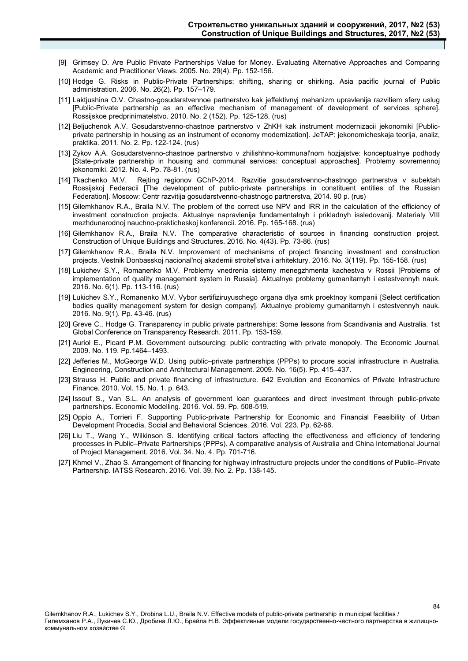- [9] Grimsey D. Are Public Private Partnerships Value for Money. Evaluating Alternative Approaches and Comparing Academic and Practitioner Views. 2005. No. 29(4). Pp. 152-156.
- [10] Hodge G. Risks in Public-Private Partnerships: shifting, sharing or shirking. Asia pacific journal of Public administration. 2006. No. 26(2). Pp. 157–179.
- [11] Laktjushina O.V. Chastno-gosudarstvennoe partnerstvo kak jeffektivnyj mehanizm upravlenija razvitiem sfery uslug [Public-Private partnership as an effective mechanism of management of development of services sphere]. Rossijskoe predprinimatelstvo. 2010. No. 2 (152). Pp. 125-128. (rus)
- [12] Beljuchenok A.V. Gosudarstvenno-chastnoe partnerstvo v ZhKH kak instrument modernizacii jekonomiki [Publicprivate partnership in housing as an instrument of economy modernization]. JeTAP: jekonomicheskaja teorija, analiz, praktika. 2011. No. 2. Pp. 122-124. (rus)
- [13] Zykov A.A. Gosudarstvenno-chastnoe partnerstvo v zhilishhno-kommunal'nom hozjajstve: konceptualnye podhody [State-private partnership in housing and communal services: conceptual approaches]. Problemy sovremennoj jekonomiki. 2012. No. 4. Pp. 78-81. (rus)
- [14] Tkachenko M.V. Rejting regionov GChP-2014. Razvitie gosudarstvenno-chastnogo partnerstva v subektah Rossijskoj Federacii [The development of public-private partnerships in constituent entities of the Russian Federation]. Moscow: Centr razvitija gosudarstvenno-chastnogo partnerstva, 2014. 90 p. (rus)
- [15] Gilemkhanov R.A., Braila N.V. The problem of the correct use NPV and IRR in the calculation of the efficiency of investment construction projects. Aktualnye napravlenija fundamentalnyh i prikladnyh issledovanij. Materialy VIII mezhdunarodnoj nauchno-prakticheskoj konferencii. 2016. Pp. 165-168. (rus)
- [16] Gilemkhanov R.A., Braila N.V. The comparative characteristic of sources in financing construction project. Construction of Unique Buildings and Structures. 2016. No. 4(43). Pp. 73-86. (rus)
- [17] Gilemkhanov R.A., Braila N.V. Improvement of mechanisms of project financing investment and construction projects. Vestnik Donbasskoj nacional'noj akademii stroitel'stva i arhitektury. 2016. No. 3(119). Pp. 155-158. (rus)
- [18] Lukichev S.Y., Romanenko M.V. Problemy vnedrenia sistemy menegzhmenta kachestva v Rossii [Problems of implementation of quality management system in Russia]. Aktualnye problemy gumanitarnyh i estestvennyh nauk. 2016. No. 6(1). Pp. 113-116. (rus)
- [19] Lukichev S.Y., Romanenko M.V. Vybor sertifiziruyuschego organa dlya smk proektnoy kompanii [Select certification bodies quality management system for design company]. Aktualnye problemy gumanitarnyh i estestvennyh nauk. 2016. No. 9(1). Pp. 43-46. (rus)
- [20] Greve C., Hodge G. Transparency in public private partnerships: Some lessons from Scandivania and Australia. 1st Global Conference on Transparency Research. 2011. Pp. 153-159.
- [21] Auriol E., Picard P.M. Government outsourcing: public contracting with private monopoly. The Economic Journal. 2009. No. 119. Pp.1464–1493.
- [22] Jefferies M., McGeorge W.D. Using public–private partnerships (PPPs) to procure social infrastructure in Australia. Engineering, Construction and Architectural Management. 2009. No. 16(5). Pp. 415–437.
- [23] Strauss H. Public and private financing of infrastructure. 642 Evolution and Economics of Private Infrastructure Finance. 2010. Vol. 15. No. 1. p. 643.
- [24] Issouf S., Van S.L. An analysis of government loan guarantees and direct investment through public-private partnerships. Economic Modelling. 2016. Vol. 59. Pp. 508-519.
- [25] Oppio A., Torrieri F. Supporting Public-private Partnership for Economic and Financial Feasibility of Urban Development Procedia. Social and Behavioral Sciences. 2016. Vol. 223. Pp. 62-68.
- [26] Liu T., Wang Y., Wilkinson S. Identifying critical factors affecting the effectiveness and efficiency of tendering processes in Public–Private Partnerships (PPPs). A comparative analysis of Australia and China International Journal of Project Management. 2016. Vol. 34. No. 4. Pp. 701-716.
- [27] Khmel V., Zhao S. Arrangement of financing for highway infrastructure projects under the conditions of Public–Private Partnership. IATSS Research. 2016. Vol. 39. No. 2. Pp. 138-145.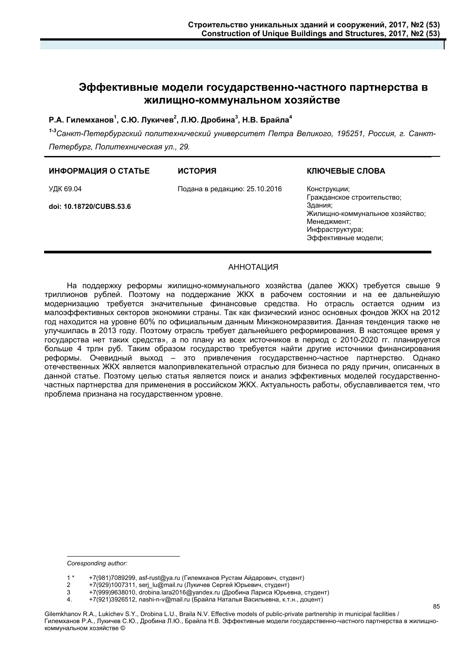## **Эффективные модели государственно-частного партнерства в жилищно-коммунальном хозяйстве**

## Р.А. Гилемханов<sup>1</sup>, С.Ю. Лукичев<sup>2</sup>, Л.Ю. Дробина<sup>3</sup>, Н.В. Брайла<sup>4</sup>

*1-3Санкт-Петербургский политехнический университет Петра Великого, 195251, Россия, г. Санкт-Петербург, Политехническая ул., 29.* 

#### **ИНФОРМАЦИЯ О СТАТЬЕ ИСТОРИЯ**

УДК 69.04

Подана в редакцию: 25.10.2016

**doi: 10.18720/CUBS.53.6**

## **КЛЮЧЕВЫЕ СЛОВА**

Конструкции; Гражданское строительство; Здания; Жилищно-коммунальное хозяйство; Менеджмент; Инфраструктура; Эффективные модели;

85

### АННОТАЦИЯ

На поддержку реформы жилищно-коммунального хозяйства (далее ЖКХ) требуется свыше 9 триллионов рублей. Поэтому на поддержание ЖКХ в рабочем состоянии и на ее дальнейшую модернизацию требуется значительные финансовые средства. Но отрасль остается одним из малоэффективных секторов экономики страны. Так как физический износ основных фондов ЖКХ на 2012 год находится на уровне 60% по официальным данным Минэкономразвития. Данная тенденция также не улучшилась в 2013 году. Поэтому отрасль требует дальнейшего реформирования. В настоящее время у государства нет таких средств», а по плану из всех источников в период с 2010-2020 гг. планируется больше 4 трлн руб. Таким образом государство требуется найти другие источники финансирования реформы. Очевидный выход – это привлечения государственно-частное партнерство. Однако отечественных ЖКХ является малопривлекательной отраслью для бизнеса по ряду причин, описанных в данной статье. Поэтому целью статья является поиск и анализ эффективных моделей государственночастных партнерства для применения в российском ЖКХ. Актуальность работы, обуславливается тем, что проблема признана на государственном уровне.

-

*Coresponding author:* 

<sup>1 \* +7(981)7089299,</sup> asf-rust@ya.ru (Гилемханов Рустам Айдарович, студент)

<sup>2 +7(929)1007311,</sup> serj\_lu@mail.ru (Лукичев Сергей Юрьевич, студент)

<sup>3 +7(999)9638010,</sup> drobina.lara2016@yandex.ru (Дробина Лариса Юрьевна, студент)<br>4. +7(921)3926512. nashi-n-v@mail.ru (Брайла Наталья Васильевна, к.т.н., доцент)

<sup>+7(921)3926512,</sup> nashi-n-v@mail.ru (Брайла Наталья Васильевна, к.т.н., доцент)